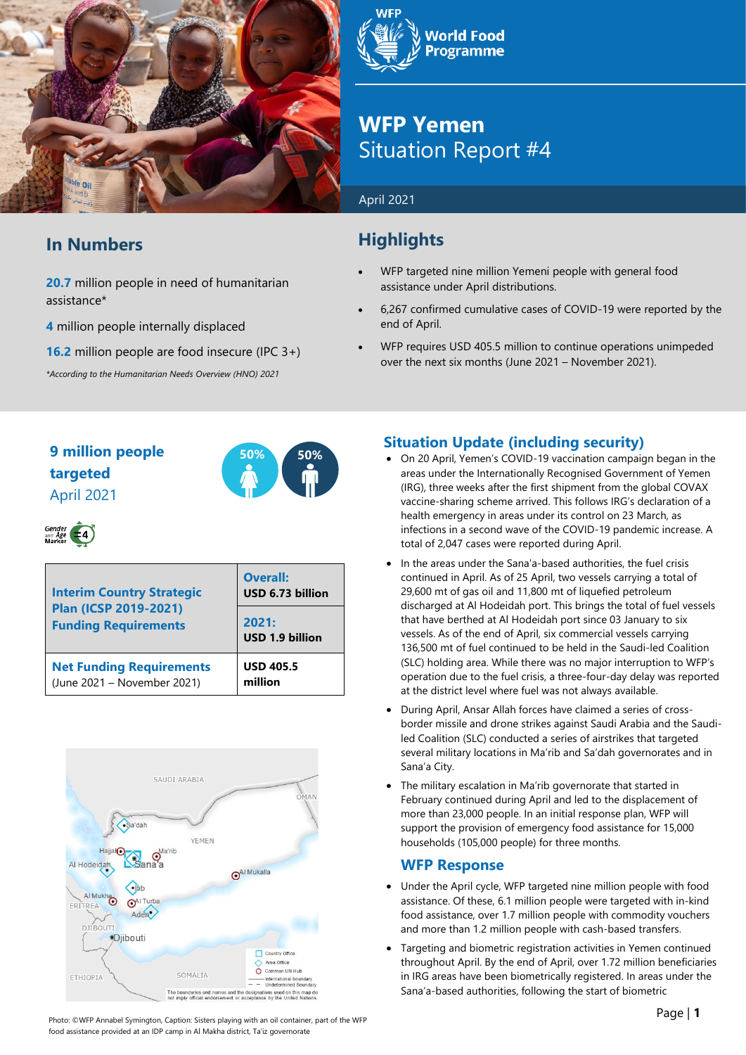

## **In Numbers**

**20.7** million people in need of humanitarian assistance\*

**4** million people internally displaced

**16.2** million people are food insecure (IPC 3+)

*\*According to the Humanitarian Needs Overview (HNO) 2021*



## **WFP Yemen** Situation Report #4

#### April 2021

## **Highlights**

- WFP targeted nine million Yemeni people with general food assistance under April distributions.
- 6,267 confirmed cumulative cases of COVID-19 were reported by the end of April.
- WFP requires USD 405.5 million to continue operations unimpeded over the next six months (June 2021 – November 2021).

### **9 million people 50% 50% targeted** April 2021



# Gender<br>and Age  $\left( -4 \right)$

| <b>Interim Country Strategic</b><br><b>Plan (ICSP 2019-2021)</b><br><b>Funding Requirements</b> | <b>Overall:</b><br>USD 6.73 billion |  |  |
|-------------------------------------------------------------------------------------------------|-------------------------------------|--|--|
|                                                                                                 | 2021:<br><b>USD 1.9 billion</b>     |  |  |
| <b>Net Funding Requirements</b><br>(June 2021 - November 2021)                                  | <b>USD 405.5</b><br>million         |  |  |



#### **Situation Update (including security)**

- On 20 April, Yemen's COVID-19 vaccination campaign began in the areas under the Internationally Recognised Government of Yemen (IRG), three weeks after the first shipment from the global COVAX vaccine-sharing scheme arrived. This follows IRG's declaration of a health emergency in areas under its control on 23 March, as infections in a second wave of the COVID-19 pandemic increase. A total of 2,047 cases were reported during April.
- In the areas under the Sana'a-based authorities, the fuel crisis continued in April. As of 25 April, two vessels carrying a total of 29,600 mt of gas oil and 11,800 mt of liquefied petroleum discharged at Al Hodeidah port. This brings the total of fuel vessels that have berthed at Al Hodeidah port since 03 January to six vessels. As of the end of April, six commercial vessels carrying 136,500 mt of fuel continued to be held in the Saudi-led Coalition (SLC) holding area. While there was no major interruption to WFP's operation due to the fuel crisis, a three-four-day delay was reported at the district level where fuel was not always available.
- During April, Ansar Allah forces have claimed a series of crossborder missile and drone strikes against Saudi Arabia and the Saudiled Coalition (SLC) conducted a series of airstrikes that targeted several military locations in Ma'rib and Sa'dah governorates and in Sana'a City.
- The military escalation in Ma'rib governorate that started in February continued during April and led to the displacement of more than 23,000 people. In an initial response plan, WFP will support the provision of emergency food assistance for 15,000 households (105,000 people) for three months.

#### **WFP Response**

- Under the April cycle, WFP targeted nine million people with food assistance. Of these, 6.1 million people were targeted with in-kind food assistance, over 1.7 million people with commodity vouchers and more than 1.2 million people with cash-based transfers.
- Targeting and biometric registration activities in Yemen continued throughout April. By the end of April, over 1.72 million beneficiaries in IRG areas have been biometrically registered. In areas under the Sana'a-based authorities, following the start of biometric

Photo: ©WFP Annabel Symington, Caption: Sisters playing with an oil container, part of the WFP food assistance provided at an IDP camp in Al Makha district, Ta'iz governorate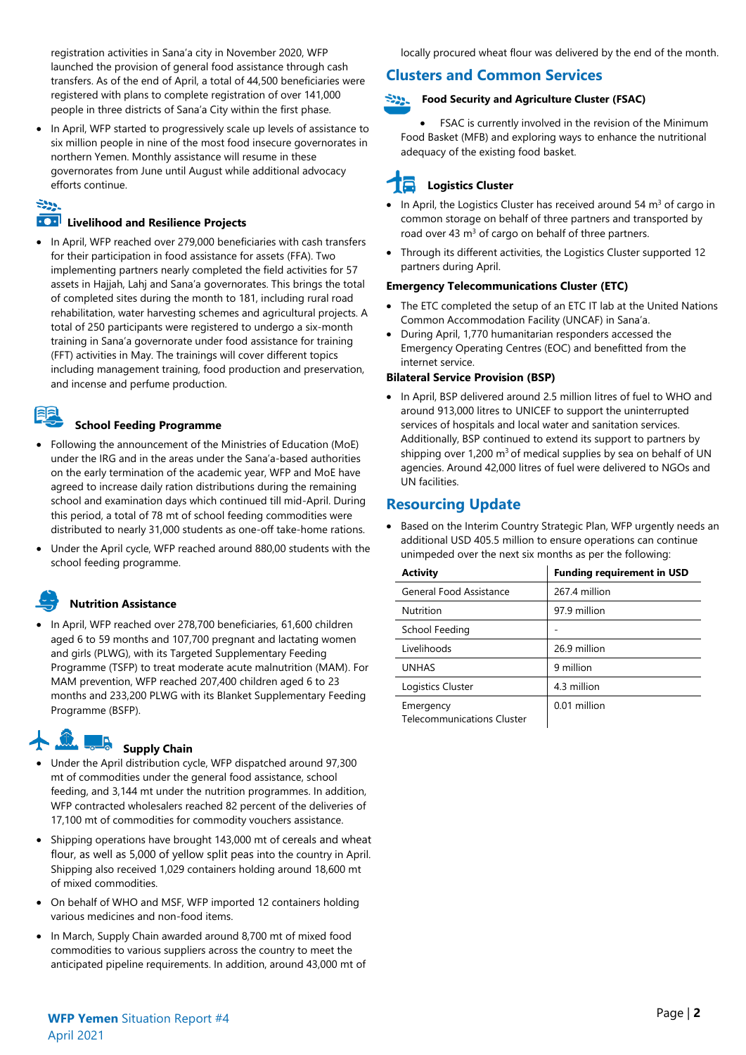registration activities in Sana'a city in November 2020, WFP launched the provision of general food assistance through cash transfers. As of the end of April, a total of 44,500 beneficiaries were registered with plans to complete registration of over 141,000 people in three districts of Sana'a City within the first phase.

• In April, WFP started to progressively scale up levels of assistance to six million people in nine of the most food insecure governorates in northern Yemen. Monthly assistance will resume in these governorates from June until August while additional advocacy efforts continue.

# $\mathbb{R}^{n}$

#### **Livelihood and Resilience Projects**

• In April, WFP reached over 279,000 beneficiaries with cash transfers for their participation in food assistance for assets (FFA). Two implementing partners nearly completed the field activities for 57 assets in Hajjah, Lahj and Sana'a governorates. This brings the total of completed sites during the month to 181, including rural road rehabilitation, water harvesting schemes and agricultural projects. A total of 250 participants were registered to undergo a six-month training in Sana'a governorate under food assistance for training (FFT) activities in May. The trainings will cover different topics including management training, food production and preservation, and incense and perfume production.

## 早

#### **School Feeding Programme**

- Following the announcement of the Ministries of Education (MoE) under the IRG and in the areas under the Sana'a-based authorities on the early termination of the academic year, WFP and MoE have agreed to increase daily ration distributions during the remaining school and examination days which continued till mid-April. During this period, a total of 78 mt of school feeding commodities were distributed to nearly 31,000 students as one-off take-home rations.
- Under the April cycle, WFP reached around 880,00 students with the school feeding programme.

#### **Nutrition Assistance**

• In April, WFP reached over 278,700 beneficiaries, 61,600 children aged 6 to 59 months and 107,700 pregnant and lactating women and girls (PLWG), with its Targeted Supplementary Feeding Programme (TSFP) to treat moderate acute malnutrition (MAM). For MAM prevention, WFP reached 207,400 children aged 6 to 23 months and 233,200 PLWG with its Blanket Supplementary Feeding Programme (BSFP).

# **Supply Chain**

- Under the April distribution cycle, WFP dispatched around 97,300 mt of commodities under the general food assistance, school feeding, and 3,144 mt under the nutrition programmes. In addition, WFP contracted wholesalers reached 82 percent of the deliveries of 17,100 mt of commodities for commodity vouchers assistance.
- Shipping operations have brought 143,000 mt of cereals and wheat flour, as well as 5,000 of yellow split peas into the country in April. Shipping also received 1,029 containers holding around 18,600 mt of mixed commodities.
- On behalf of WHO and MSF, WFP imported 12 containers holding various medicines and non-food items.
- In March, Supply Chain awarded around 8,700 mt of mixed food commodities to various suppliers across the country to meet the anticipated pipeline requirements. In addition, around 43,000 mt of

#### **Clusters and Common Services**

#### **Food Security and Agriculture Cluster (FSAC)**

• FSAC is currently involved in the revision of the Minimum Food Basket (MFB) and exploring ways to enhance the nutritional adequacy of the existing food basket.

## **Logistics Cluster**

- In April, the Logistics Cluster has received around 54  $m<sup>3</sup>$  of cargo in common storage on behalf of three partners and transported by road over 43  $\text{m}^3$  of cargo on behalf of three partners.
- Through its different activities, the Logistics Cluster supported 12 partners during April.

#### **Emergency Telecommunications Cluster (ETC)**

- The ETC completed the setup of an ETC IT lab at the United Nations Common Accommodation Facility (UNCAF) in Sana'a.
- During April, 1,770 humanitarian responders accessed the Emergency Operating Centres (EOC) and benefitted from the internet service.

#### **Bilateral Service Provision (BSP)**

• In April, BSP delivered around 2.5 million litres of fuel to WHO and around 913,000 litres to UNICEF to support the uninterrupted services of hospitals and local water and sanitation services. Additionally, BSP continued to extend its support to partners by shipping over  $1,200 \text{ m}^3$  of medical supplies by sea on behalf of UN agencies. Around 42,000 litres of fuel were delivered to NGOs and UN facilities.

#### **Resourcing Update**

• Based on the Interim Country Strategic Plan, WFP urgently needs an additional USD 405.5 million to ensure operations can continue unimpeded over the next six months as per the following:

| <b>Activity</b>                                | <b>Funding requirement in USD</b> |  |  |  |
|------------------------------------------------|-----------------------------------|--|--|--|
| General Food Assistance                        | 267.4 million                     |  |  |  |
| Nutrition                                      | 97.9 million                      |  |  |  |
| School Feeding                                 |                                   |  |  |  |
| Livelihoods                                    | 26.9 million                      |  |  |  |
| <b>UNHAS</b>                                   | 9 million                         |  |  |  |
| Logistics Cluster                              | 4.3 million                       |  |  |  |
| Emergency<br><b>Telecommunications Cluster</b> | 0.01 million                      |  |  |  |